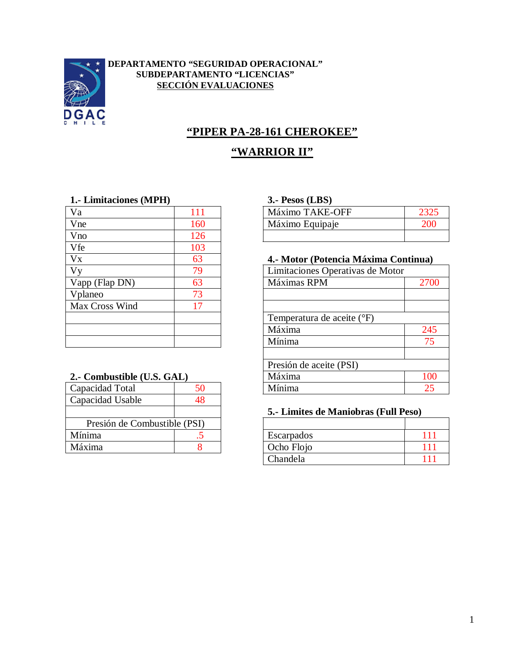

#### **DEPARTAMENTO "SEGURIDAD OPERACIONAL" SUBDEPARTAMENTO "LICENCIAS" SECCIÓN EVALUACIONES**

# **"PIPER PA-28-161 CHEROKEE"**

# **"WARRIOR II"**

#### **1.- Limitaciones (MPH) 3.- Pesos (LBS)**

| Va                   | 111 | Máximo TAKE-OFF                  |
|----------------------|-----|----------------------------------|
| Vne                  | 160 | Máximo Equipaje                  |
| Vno                  | 126 |                                  |
| Vfe                  | 103 |                                  |
| <b>V<sub>x</sub></b> | 63  | 4.- Motor (Potencia Máxima Cor   |
| Vy                   | 79  | Limitaciones Operativas de Motor |
| Vapp (Flap DN)       | 63  | Máximas RPM                      |
| Vplaneo              | 73  |                                  |
| Max Cross Wind       | 17  |                                  |
|                      |     | Temperatura de aceite (°F)       |
|                      |     | Máxima                           |
|                      |     | Mínima                           |

#### **2.- Combustible (U.S. GAL)**

| Capacidad Total              | 50 |  |
|------------------------------|----|--|
| Capacidad Usable             | 48 |  |
|                              |    |  |
| Presión de Combustible (PSI) |    |  |
| Mínima                       |    |  |
| Máxima                       |    |  |

| Va  |    | $TAKE-L$<br>$\mathbf{A}$<br>-OFF<br>Máximo |  |
|-----|----|--------------------------------------------|--|
| Vne | 60 | Máximo<br>Equipaje                         |  |
| Vn∩ |    |                                            |  |

#### 4.- Motor (Potencia Máxima Continua)

| V <sub>V</sub>             | 79 | Limitaciones Operativas de Motor |      |
|----------------------------|----|----------------------------------|------|
| Vapp (Flap DN)             | 63 | Máximas RPM                      | 2700 |
| Vplaneo                    | 73 |                                  |      |
| Max Cross Wind             |    |                                  |      |
|                            |    | Temperatura de aceite (°F)       |      |
|                            |    | Máxima                           | 245  |
|                            |    | Mínima                           | 75   |
|                            |    |                                  |      |
|                            |    | Presión de aceite (PSI)          |      |
| 2.- Combustible (U.S. GAL) |    | Máxima                           | 100  |
| Capacidad Total            | 50 | Mínima                           | 25   |

#### **5.- Limites de Maniobras (Full Peso)**

| Presión de Combustible (PSI) |     |                   |  |
|------------------------------|-----|-------------------|--|
| Mínima                       | . . | <b>Escarpados</b> |  |
| Máxima                       |     | Ocho Flojo        |  |
|                              |     | Chandela          |  |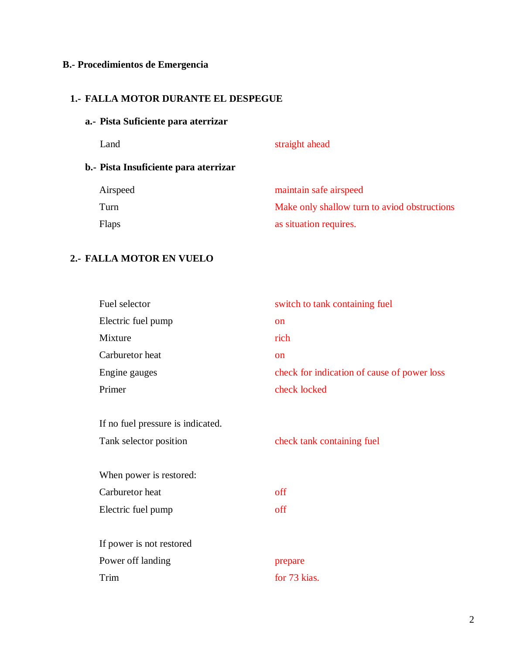# **B.- Procedimientos de Emergencia**

# **1.- FALLA MOTOR DURANTE EL DESPEGUE**

# **a.- Pista Suficiente para aterrizar**

|                                       | Land         | straight ahead                               |
|---------------------------------------|--------------|----------------------------------------------|
| b.- Pista Insuficiente para aterrizar |              |                                              |
|                                       | Airspeed     | maintain safe airspeed                       |
|                                       | Turn         | Make only shallow turn to aviod obstructions |
|                                       | <b>Flaps</b> | as situation requires.                       |

### **2.- FALLA MOTOR EN VUELO**

| Fuel selector                     | switch to tank containing fuel              |
|-----------------------------------|---------------------------------------------|
| Electric fuel pump                | <b>on</b>                                   |
| Mixture                           | rich                                        |
| Carburetor heat                   | <sub>on</sub>                               |
| Engine gauges                     | check for indication of cause of power loss |
| Primer                            | check locked                                |
|                                   |                                             |
| If no fuel pressure is indicated. |                                             |
| Tank selector position            | check tank containing fuel                  |
|                                   |                                             |
| When power is restored:           |                                             |
| Carburetor heat                   | off                                         |
| Electric fuel pump                | off                                         |
|                                   |                                             |
| If power is not restored          |                                             |
| Power off landing                 | prepare                                     |
| Trim                              | for 73 kias.                                |